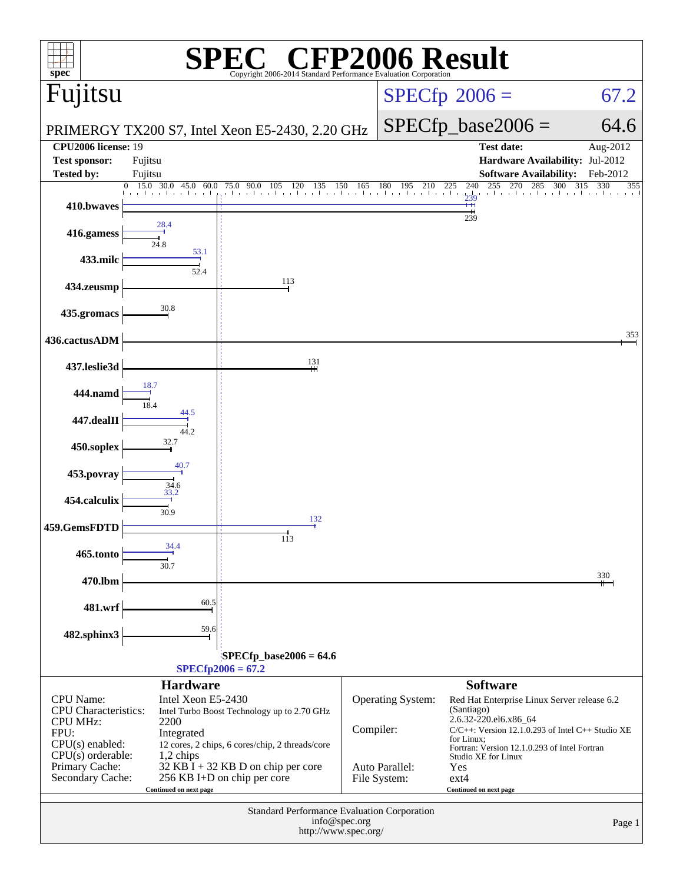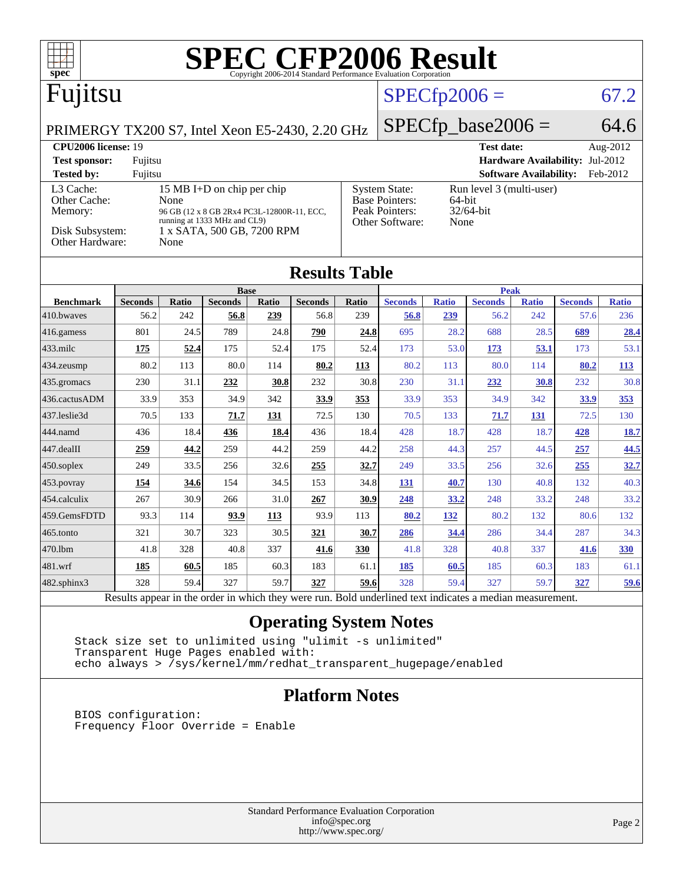| <b>SPEC CFP2006 Result</b><br>spec <sup>8</sup><br>Copyright 2006-2014 Standard Performance Evaluation Corporation                  |                        |              |                                            |              |                        |                                                                                     |                             |                     |                        |                               |                        |                     |
|-------------------------------------------------------------------------------------------------------------------------------------|------------------------|--------------|--------------------------------------------|--------------|------------------------|-------------------------------------------------------------------------------------|-----------------------------|---------------------|------------------------|-------------------------------|------------------------|---------------------|
| Fujitsu                                                                                                                             |                        |              |                                            |              |                        |                                                                                     |                             | $SPECfp2006 =$      |                        |                               |                        | 67.2                |
| PRIMERGY TX200 S7, Intel Xeon E5-2430, 2.20 GHz                                                                                     |                        |              |                                            |              |                        |                                                                                     | $SPECfp\_base2006 =$        |                     |                        | 64.6                          |                        |                     |
| <b>CPU2006</b> license: 19                                                                                                          |                        |              |                                            |              |                        |                                                                                     |                             |                     | <b>Test date:</b>      |                               |                        | Aug-2012            |
| <b>Test sponsor:</b>                                                                                                                | Fujitsu                |              |                                            |              |                        |                                                                                     |                             |                     |                        | <b>Hardware Availability:</b> |                        | Jul-2012            |
| <b>Tested by:</b>                                                                                                                   | Fujitsu                |              |                                            |              |                        |                                                                                     |                             |                     |                        | <b>Software Availability:</b> |                        | Feb-2012            |
| L3 Cache:<br>15 MB I+D on chip per chip<br>Other Cache:<br>None                                                                     |                        |              |                                            |              |                        | <b>System State:</b><br>Run level 3 (multi-user)<br><b>Base Pointers:</b><br>64-bit |                             |                     |                        |                               |                        |                     |
| Memory:                                                                                                                             |                        |              | 96 GB (12 x 8 GB 2Rx4 PC3L-12800R-11, ECC, |              |                        |                                                                                     | Peak Pointers:<br>32/64-bit |                     |                        |                               |                        |                     |
| running at 1333 MHz and CL9)<br>Other Software:<br>None<br>Disk Subsystem:<br>1 x SATA, 500 GB, 7200 RPM<br>Other Hardware:<br>None |                        |              |                                            |              |                        |                                                                                     |                             |                     |                        |                               |                        |                     |
| <b>Results Table</b>                                                                                                                |                        |              |                                            |              |                        |                                                                                     |                             |                     |                        |                               |                        |                     |
|                                                                                                                                     |                        |              | <b>Base</b>                                |              |                        |                                                                                     |                             |                     | <b>Peak</b>            |                               |                        |                     |
| <b>Benchmark</b><br>410.bwaves                                                                                                      | <b>Seconds</b><br>56.2 | Ratio<br>242 | <b>Seconds</b><br>56.8                     | Ratio<br>239 | <b>Seconds</b><br>56.8 | Ratio<br>239                                                                        | <b>Seconds</b><br>56.8      | <b>Ratio</b><br>239 | <b>Seconds</b><br>56.2 | <b>Ratio</b><br>242           | <b>Seconds</b><br>57.6 | <b>Ratio</b><br>236 |
| $416$ .gamess                                                                                                                       | 801                    | 24.5         | 789                                        | 24.8         | 790                    | 24.8                                                                                | 695                         | 28.2                | 688                    | 28.5                          | 689                    | 28.4                |
| $433$ .milc                                                                                                                         | 175                    | 52.4         | 175                                        | 52.4         | 175                    | 52.4                                                                                | 173                         | 53.0                | 173                    | 53.1                          | 173                    | 53.1                |
| $434$ . zeusmp                                                                                                                      | 80.2                   | 113          | 80.0                                       | 114          | 80.2                   | 113                                                                                 | 80.2                        | 113                 | 80.0                   | 114                           | 80.2                   | <b>113</b>          |
| 435.gromacs                                                                                                                         | 230                    | 31.1         | 232                                        | 30.8         | 232                    | 30.8                                                                                | 230                         | 31.1                | 232                    | 30.8                          | 232                    | 30.8                |
| 436.cactusADM                                                                                                                       | 33.9                   | 353          | 34.9                                       | 342          | 33.9                   | <u>353</u>                                                                          | 33.9                        | 353                 | 34.9                   | 342                           | 33.9                   | <u>353</u>          |
| 437.leslie3d                                                                                                                        | 70.5                   | 133          | 71.7                                       | 131          | 72.5                   | 130                                                                                 | 70.5                        | 133                 | 71.7                   | 131                           | 72.5                   | 130                 |
| 444.namd                                                                                                                            | 436                    | 18.4         | 436                                        | 18.4         | 436                    | 18.4                                                                                | 428                         | 18.7                | 428                    | 18.7                          | 428                    | 18.7                |
| 447.dealII                                                                                                                          | 259                    | 44.2         | 259                                        | 44.2         | 259                    | 44.2                                                                                | 258                         | 44.3                | 257                    | 44.5                          | 257                    | 44.5                |
| $450$ .soplex                                                                                                                       | 249                    | 33.5         | 256                                        | 32.6         | 255                    | 32.7                                                                                | 249                         | 33.5                | 256                    | 32.6                          | 255                    | 32.7                |
| $ 453$ . povray                                                                                                                     | 154                    | 34.6         | 154                                        | 34.5         | 153                    | 34.8                                                                                | 131                         | 40.7                | 130                    | 40.8                          | 132                    | 40.3                |
| 454.calculix                                                                                                                        | 267                    | 30.9         | 266                                        | 31.0         | 267                    | 30.9                                                                                | 248                         | 33.2                | 248                    | 33.2                          | 248                    | 33.2                |
| 459.GemsFDTD                                                                                                                        | 93.3                   | 114          | 93.9                                       | 113          | 93.9                   | 113                                                                                 | 80.2                        | 132                 | 80.2                   | 132                           | 80.6                   | 132                 |
| 465.tonto                                                                                                                           | 321                    | 30.7         | 323                                        | 30.5         | 321                    | 30.7                                                                                | 286                         | 34.4                | 286                    | 34.4                          | 287                    | 34.3                |
| 470.1bm                                                                                                                             | 41.8                   | 328          | 40.8                                       | 337          | 41.6                   | 330                                                                                 | 41.8                        | 328                 | 40.8                   | 337                           | 41.6                   | 330                 |
| 481.wrf                                                                                                                             | 185                    | 60.5         | 185                                        | 60.3         | 183                    | 61.1                                                                                | 185                         | 60.5                | 185                    | 60.3                          | 183                    | 61.1                |
| $482$ .sphinx $3$                                                                                                                   | 328                    | 59.4         | 327                                        | 59.7         | 327                    | 59.6                                                                                | 328                         | 59.4                | 327                    | 59.7                          | 327                    | 59.6                |
| n                                                                                                                                   | $\mathbf{1}$           |              | 1.1                                        | 1.3.1.       |                        | $D - 1.1$                                                                           | 1.111<br>$-11$              | $2.50 - 35$         | $\mathbf{1}^{\star}$   |                               |                        |                     |

Results appear in the [order in which they were run.](http://www.spec.org/auto/cpu2006/Docs/result-fields.html#RunOrder) Bold underlined text [indicates a median measurement.](http://www.spec.org/auto/cpu2006/Docs/result-fields.html#Median)

### **[Operating System Notes](http://www.spec.org/auto/cpu2006/Docs/result-fields.html#OperatingSystemNotes)**

 Stack size set to unlimited using "ulimit -s unlimited" Transparent Huge Pages enabled with: echo always > /sys/kernel/mm/redhat\_transparent\_hugepage/enabled

#### **[Platform Notes](http://www.spec.org/auto/cpu2006/Docs/result-fields.html#PlatformNotes)**

 BIOS configuration: Frequency Floor Override = Enable

> Standard Performance Evaluation Corporation [info@spec.org](mailto:info@spec.org) <http://www.spec.org/>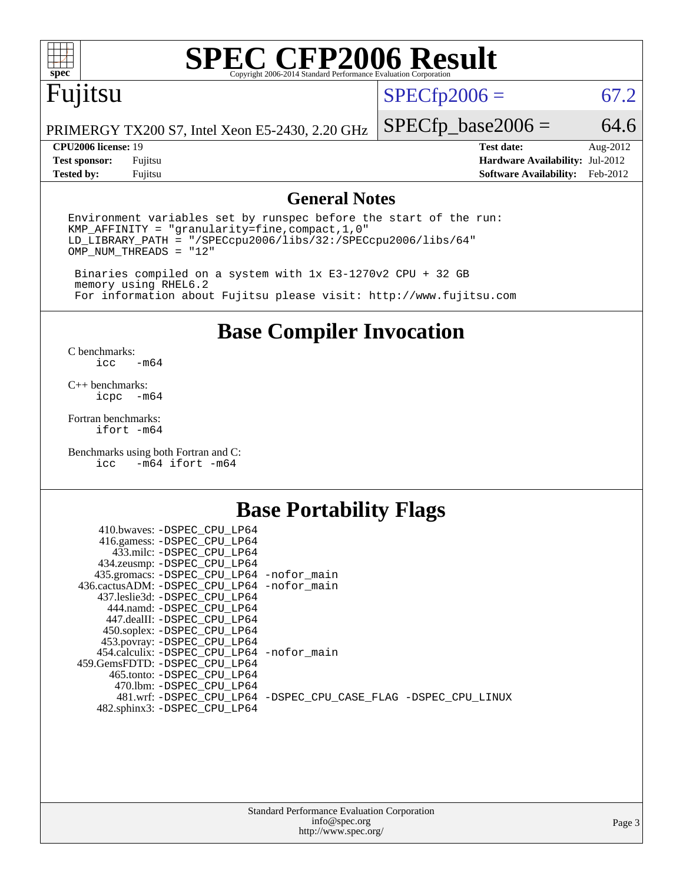

# **[SPEC CFP2006 Result](http://www.spec.org/auto/cpu2006/Docs/result-fields.html#SPECCFP2006Result)**

# Fujitsu

### $SPECfp2006 = 67.2$  $SPECfp2006 = 67.2$

PRIMERGY TX200 S7, Intel Xeon E5-2430, 2.20 GHz

**[Tested by:](http://www.spec.org/auto/cpu2006/Docs/result-fields.html#Testedby)** Fujitsu **[Software Availability:](http://www.spec.org/auto/cpu2006/Docs/result-fields.html#SoftwareAvailability)** Feb-2012

 $SPECfp\_base2006 = 64.6$ **[CPU2006 license:](http://www.spec.org/auto/cpu2006/Docs/result-fields.html#CPU2006license)** 19 **[Test date:](http://www.spec.org/auto/cpu2006/Docs/result-fields.html#Testdate)** Aug-2012 **[Test sponsor:](http://www.spec.org/auto/cpu2006/Docs/result-fields.html#Testsponsor)** Fujitsu **[Hardware Availability:](http://www.spec.org/auto/cpu2006/Docs/result-fields.html#HardwareAvailability)** Jul-2012

#### **[General Notes](http://www.spec.org/auto/cpu2006/Docs/result-fields.html#GeneralNotes)**

Environment variables set by runspec before the start of the run: KMP\_AFFINITY = "granularity=fine,compact,1,0" LD\_LIBRARY\_PATH = "/SPECcpu2006/libs/32:/SPECcpu2006/libs/64" OMP\_NUM\_THREADS = "12"

 Binaries compiled on a system with 1x E3-1270v2 CPU + 32 GB memory using RHEL6.2 For information about Fujitsu please visit: <http://www.fujitsu.com>

**[Base Compiler Invocation](http://www.spec.org/auto/cpu2006/Docs/result-fields.html#BaseCompilerInvocation)**

 $C$  benchmarks:<br>icc  $-m64$ 

[C++ benchmarks:](http://www.spec.org/auto/cpu2006/Docs/result-fields.html#CXXbenchmarks) [icpc -m64](http://www.spec.org/cpu2006/results/res2012q3/cpu2006-20120821-24262.flags.html#user_CXXbase_intel_icpc_64bit_bedb90c1146cab66620883ef4f41a67e)

[Fortran benchmarks](http://www.spec.org/auto/cpu2006/Docs/result-fields.html#Fortranbenchmarks): [ifort -m64](http://www.spec.org/cpu2006/results/res2012q3/cpu2006-20120821-24262.flags.html#user_FCbase_intel_ifort_64bit_ee9d0fb25645d0210d97eb0527dcc06e)

[Benchmarks using both Fortran and C](http://www.spec.org/auto/cpu2006/Docs/result-fields.html#BenchmarksusingbothFortranandC): [icc -m64](http://www.spec.org/cpu2006/results/res2012q3/cpu2006-20120821-24262.flags.html#user_CC_FCbase_intel_icc_64bit_0b7121f5ab7cfabee23d88897260401c) [ifort -m64](http://www.spec.org/cpu2006/results/res2012q3/cpu2006-20120821-24262.flags.html#user_CC_FCbase_intel_ifort_64bit_ee9d0fb25645d0210d97eb0527dcc06e)

### **[Base Portability Flags](http://www.spec.org/auto/cpu2006/Docs/result-fields.html#BasePortabilityFlags)**

| 410.bwaves: -DSPEC CPU LP64                 |                                                                |
|---------------------------------------------|----------------------------------------------------------------|
| 416.gamess: -DSPEC_CPU_LP64                 |                                                                |
| 433.milc: -DSPEC CPU LP64                   |                                                                |
| 434.zeusmp: -DSPEC_CPU_LP64                 |                                                                |
| 435.gromacs: -DSPEC_CPU_LP64 -nofor_main    |                                                                |
| 436.cactusADM: -DSPEC CPU LP64 -nofor main  |                                                                |
| 437.leslie3d: -DSPEC CPU LP64               |                                                                |
| 444.namd: -DSPEC CPU LP64                   |                                                                |
| 447.dealII: -DSPEC CPU LP64                 |                                                                |
| 450.soplex: -DSPEC_CPU_LP64                 |                                                                |
| 453.povray: -DSPEC_CPU_LP64                 |                                                                |
| 454.calculix: - DSPEC CPU LP64 - nofor main |                                                                |
| 459. GemsFDTD: - DSPEC CPU LP64             |                                                                |
| 465.tonto: - DSPEC CPU LP64                 |                                                                |
| 470.1bm: - DSPEC CPU LP64                   |                                                                |
|                                             | 481.wrf: -DSPEC_CPU_LP64 -DSPEC_CPU_CASE_FLAG -DSPEC_CPU_LINUX |
| 482.sphinx3: -DSPEC_CPU_LP64                |                                                                |
|                                             |                                                                |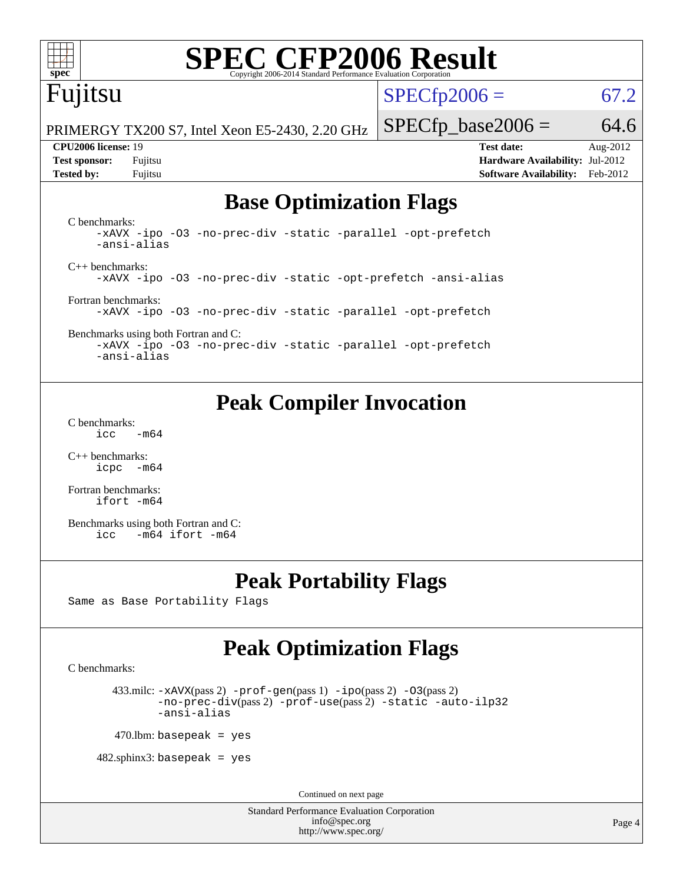

# **[SPEC CFP2006 Result](http://www.spec.org/auto/cpu2006/Docs/result-fields.html#SPECCFP2006Result)**

# Fujitsu

 $SPECfp2006 = 67.2$  $SPECfp2006 = 67.2$ 

PRIMERGY TX200 S7, Intel Xeon E5-2430, 2.20 GHz

**[Tested by:](http://www.spec.org/auto/cpu2006/Docs/result-fields.html#Testedby)** Fujitsu **[Software Availability:](http://www.spec.org/auto/cpu2006/Docs/result-fields.html#SoftwareAvailability)** Feb-2012

 $SPECfp\_base2006 = 64.6$ **[CPU2006 license:](http://www.spec.org/auto/cpu2006/Docs/result-fields.html#CPU2006license)** 19 **[Test date:](http://www.spec.org/auto/cpu2006/Docs/result-fields.html#Testdate)** Aug-2012 **[Test sponsor:](http://www.spec.org/auto/cpu2006/Docs/result-fields.html#Testsponsor)** Fujitsu **[Hardware Availability:](http://www.spec.org/auto/cpu2006/Docs/result-fields.html#HardwareAvailability)** Jul-2012

# **[Base Optimization Flags](http://www.spec.org/auto/cpu2006/Docs/result-fields.html#BaseOptimizationFlags)**

[C benchmarks](http://www.spec.org/auto/cpu2006/Docs/result-fields.html#Cbenchmarks): [-xAVX](http://www.spec.org/cpu2006/results/res2012q3/cpu2006-20120821-24262.flags.html#user_CCbase_f-xAVX) [-ipo](http://www.spec.org/cpu2006/results/res2012q3/cpu2006-20120821-24262.flags.html#user_CCbase_f-ipo) [-O3](http://www.spec.org/cpu2006/results/res2012q3/cpu2006-20120821-24262.flags.html#user_CCbase_f-O3) [-no-prec-div](http://www.spec.org/cpu2006/results/res2012q3/cpu2006-20120821-24262.flags.html#user_CCbase_f-no-prec-div) [-static](http://www.spec.org/cpu2006/results/res2012q3/cpu2006-20120821-24262.flags.html#user_CCbase_f-static) [-parallel](http://www.spec.org/cpu2006/results/res2012q3/cpu2006-20120821-24262.flags.html#user_CCbase_f-parallel) [-opt-prefetch](http://www.spec.org/cpu2006/results/res2012q3/cpu2006-20120821-24262.flags.html#user_CCbase_f-opt-prefetch) [-ansi-alias](http://www.spec.org/cpu2006/results/res2012q3/cpu2006-20120821-24262.flags.html#user_CCbase_f-ansi-alias) [C++ benchmarks:](http://www.spec.org/auto/cpu2006/Docs/result-fields.html#CXXbenchmarks) [-xAVX](http://www.spec.org/cpu2006/results/res2012q3/cpu2006-20120821-24262.flags.html#user_CXXbase_f-xAVX) [-ipo](http://www.spec.org/cpu2006/results/res2012q3/cpu2006-20120821-24262.flags.html#user_CXXbase_f-ipo) [-O3](http://www.spec.org/cpu2006/results/res2012q3/cpu2006-20120821-24262.flags.html#user_CXXbase_f-O3) [-no-prec-div](http://www.spec.org/cpu2006/results/res2012q3/cpu2006-20120821-24262.flags.html#user_CXXbase_f-no-prec-div) [-static](http://www.spec.org/cpu2006/results/res2012q3/cpu2006-20120821-24262.flags.html#user_CXXbase_f-static) [-opt-prefetch](http://www.spec.org/cpu2006/results/res2012q3/cpu2006-20120821-24262.flags.html#user_CXXbase_f-opt-prefetch) [-ansi-alias](http://www.spec.org/cpu2006/results/res2012q3/cpu2006-20120821-24262.flags.html#user_CXXbase_f-ansi-alias) [Fortran benchmarks](http://www.spec.org/auto/cpu2006/Docs/result-fields.html#Fortranbenchmarks): [-xAVX](http://www.spec.org/cpu2006/results/res2012q3/cpu2006-20120821-24262.flags.html#user_FCbase_f-xAVX) [-ipo](http://www.spec.org/cpu2006/results/res2012q3/cpu2006-20120821-24262.flags.html#user_FCbase_f-ipo) [-O3](http://www.spec.org/cpu2006/results/res2012q3/cpu2006-20120821-24262.flags.html#user_FCbase_f-O3) [-no-prec-div](http://www.spec.org/cpu2006/results/res2012q3/cpu2006-20120821-24262.flags.html#user_FCbase_f-no-prec-div) [-static](http://www.spec.org/cpu2006/results/res2012q3/cpu2006-20120821-24262.flags.html#user_FCbase_f-static) [-parallel](http://www.spec.org/cpu2006/results/res2012q3/cpu2006-20120821-24262.flags.html#user_FCbase_f-parallel) [-opt-prefetch](http://www.spec.org/cpu2006/results/res2012q3/cpu2006-20120821-24262.flags.html#user_FCbase_f-opt-prefetch)

[Benchmarks using both Fortran and C](http://www.spec.org/auto/cpu2006/Docs/result-fields.html#BenchmarksusingbothFortranandC): [-xAVX](http://www.spec.org/cpu2006/results/res2012q3/cpu2006-20120821-24262.flags.html#user_CC_FCbase_f-xAVX) [-ipo](http://www.spec.org/cpu2006/results/res2012q3/cpu2006-20120821-24262.flags.html#user_CC_FCbase_f-ipo) [-O3](http://www.spec.org/cpu2006/results/res2012q3/cpu2006-20120821-24262.flags.html#user_CC_FCbase_f-O3) [-no-prec-div](http://www.spec.org/cpu2006/results/res2012q3/cpu2006-20120821-24262.flags.html#user_CC_FCbase_f-no-prec-div) [-static](http://www.spec.org/cpu2006/results/res2012q3/cpu2006-20120821-24262.flags.html#user_CC_FCbase_f-static) [-parallel](http://www.spec.org/cpu2006/results/res2012q3/cpu2006-20120821-24262.flags.html#user_CC_FCbase_f-parallel) [-opt-prefetch](http://www.spec.org/cpu2006/results/res2012q3/cpu2006-20120821-24262.flags.html#user_CC_FCbase_f-opt-prefetch) [-ansi-alias](http://www.spec.org/cpu2006/results/res2012q3/cpu2006-20120821-24262.flags.html#user_CC_FCbase_f-ansi-alias)

## **[Peak Compiler Invocation](http://www.spec.org/auto/cpu2006/Docs/result-fields.html#PeakCompilerInvocation)**

[C benchmarks](http://www.spec.org/auto/cpu2006/Docs/result-fields.html#Cbenchmarks):  $\text{icc}$  -m64

[C++ benchmarks:](http://www.spec.org/auto/cpu2006/Docs/result-fields.html#CXXbenchmarks) [icpc -m64](http://www.spec.org/cpu2006/results/res2012q3/cpu2006-20120821-24262.flags.html#user_CXXpeak_intel_icpc_64bit_bedb90c1146cab66620883ef4f41a67e)

[Fortran benchmarks](http://www.spec.org/auto/cpu2006/Docs/result-fields.html#Fortranbenchmarks): [ifort -m64](http://www.spec.org/cpu2006/results/res2012q3/cpu2006-20120821-24262.flags.html#user_FCpeak_intel_ifort_64bit_ee9d0fb25645d0210d97eb0527dcc06e)

[Benchmarks using both Fortran and C](http://www.spec.org/auto/cpu2006/Docs/result-fields.html#BenchmarksusingbothFortranandC): [icc -m64](http://www.spec.org/cpu2006/results/res2012q3/cpu2006-20120821-24262.flags.html#user_CC_FCpeak_intel_icc_64bit_0b7121f5ab7cfabee23d88897260401c) [ifort -m64](http://www.spec.org/cpu2006/results/res2012q3/cpu2006-20120821-24262.flags.html#user_CC_FCpeak_intel_ifort_64bit_ee9d0fb25645d0210d97eb0527dcc06e)

## **[Peak Portability Flags](http://www.spec.org/auto/cpu2006/Docs/result-fields.html#PeakPortabilityFlags)**

Same as Base Portability Flags

# **[Peak Optimization Flags](http://www.spec.org/auto/cpu2006/Docs/result-fields.html#PeakOptimizationFlags)**

[C benchmarks](http://www.spec.org/auto/cpu2006/Docs/result-fields.html#Cbenchmarks):

433.milc:  $-x$ AVX(pass 2)  $-p$ rof-gen(pass 1)  $-p$ po(pass 2)  $-03$ (pass 2) [-no-prec-div](http://www.spec.org/cpu2006/results/res2012q3/cpu2006-20120821-24262.flags.html#user_peakPASS2_CFLAGSPASS2_LDFLAGS433_milc_f-no-prec-div)(pass 2) [-prof-use](http://www.spec.org/cpu2006/results/res2012q3/cpu2006-20120821-24262.flags.html#user_peakPASS2_CFLAGSPASS2_LDFLAGS433_milc_prof_use_bccf7792157ff70d64e32fe3e1250b55)(pass 2) [-static](http://www.spec.org/cpu2006/results/res2012q3/cpu2006-20120821-24262.flags.html#user_peakOPTIMIZE433_milc_f-static) [-auto-ilp32](http://www.spec.org/cpu2006/results/res2012q3/cpu2006-20120821-24262.flags.html#user_peakCOPTIMIZE433_milc_f-auto-ilp32) [-ansi-alias](http://www.spec.org/cpu2006/results/res2012q3/cpu2006-20120821-24262.flags.html#user_peakCOPTIMIZE433_milc_f-ansi-alias)

 $470$ .lbm: basepeak = yes

 $482$ .sphinx3: basepeak = yes

Continued on next page

Standard Performance Evaluation Corporation [info@spec.org](mailto:info@spec.org) <http://www.spec.org/>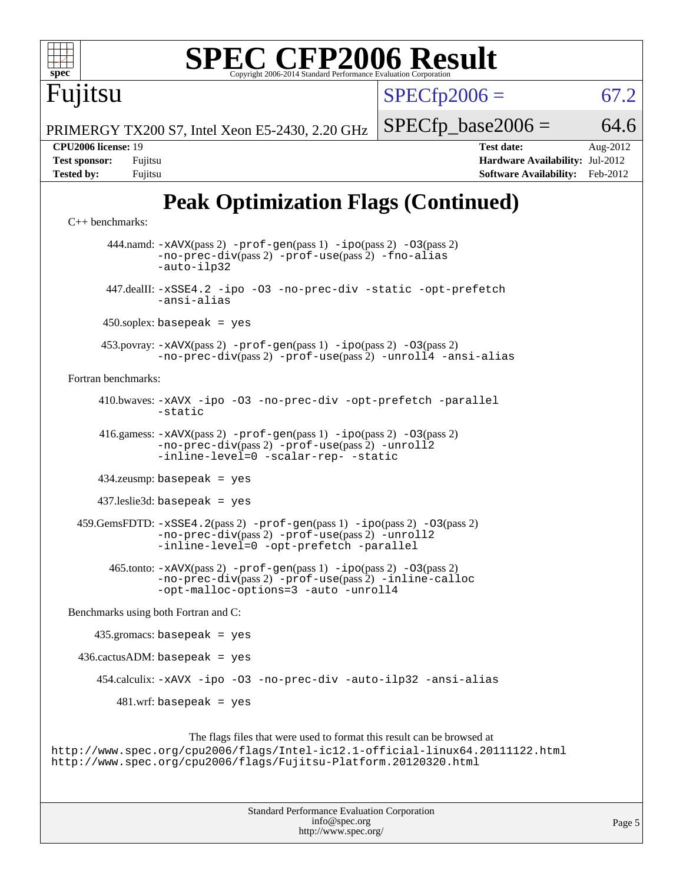

# **[SPEC CFP2006 Result](http://www.spec.org/auto/cpu2006/Docs/result-fields.html#SPECCFP2006Result)**

 $SPECTp2006 = 67.2$ 

PRIMERGY TX200 S7, Intel Xeon E5-2430, 2.20 GHz

**[CPU2006 license:](http://www.spec.org/auto/cpu2006/Docs/result-fields.html#CPU2006license)** 19 **[Test date:](http://www.spec.org/auto/cpu2006/Docs/result-fields.html#Testdate)** Aug-2012 **[Test sponsor:](http://www.spec.org/auto/cpu2006/Docs/result-fields.html#Testsponsor)** Fujitsu **[Hardware Availability:](http://www.spec.org/auto/cpu2006/Docs/result-fields.html#HardwareAvailability)** Jul-2012 **[Tested by:](http://www.spec.org/auto/cpu2006/Docs/result-fields.html#Testedby)** Fujitsu **[Software Availability:](http://www.spec.org/auto/cpu2006/Docs/result-fields.html#SoftwareAvailability)** Feb-2012

 $SPECTp\_base2006 = 64.6$ 

# **[Peak Optimization Flags \(Continued\)](http://www.spec.org/auto/cpu2006/Docs/result-fields.html#PeakOptimizationFlags)**

```
C++ benchmarks: 
          444.namd: -xAVX(pass 2) -prof-gen(pass 1) -ipo(pass 2) -O3(pass 2)
                  -no-prec-div(pass 2) -prof-use(pass 2) -fno-alias
                  -auto-ilp32
          447.dealII: -xSSE4.2 -ipo -O3 -no-prec-div -static -opt-prefetch
                  -ansi-alias
        450.soplex: basepeak = yes
         453.povray: -xAVX(pass 2) -prof-gen(pass 1) -ipo(pass 2) -O3(pass 2)
                  -no-prec-div(pass 2) -prof-use(pass 2) -unroll4 -ansi-alias
  Fortran benchmarks: 
         410.bwaves: -xAVX -ipo -O3 -no-prec-div -opt-prefetch -parallel
                  -static
         416.gamess: -xAVX(pass 2) -prof-gen(pass 1) -ipo(pass 2) -O3(pass 2)
                  -no-prec-div(pass 2) -prof-use(pass 2) -unroll2
                  -inline-level=0-scalar-rep--static
         434.zeusmp: basepeak = yes
        437.leslie3d: basepeak = yes
    -xSSE4.2-prof-gen-ipo-O3(pass 2)-no-prec-div(pass 2) -prof-use(pass 2) -unroll2
                  -inline-level=0 -opt-prefetch -parallel
          465.tonto: -xAVX(pass 2) -prof-gen(pass 1) -ipo(pass 2) -O3(pass 2)
                  -no-prec-div(pass 2) -prof-use(pass 2) -inline-calloc
                  -opt-malloc-options=3 -auto -unroll4
  Benchmarks using both Fortran and C: 
        435.gromacs: basepeak = yes
    436.cactusADM:basepeak = yes 454.calculix: -xAVX -ipo -O3 -no-prec-div -auto-ilp32 -ansi-alias
           481.wrf: basepeak = yes
                       The flags files that were used to format this result can be browsed at
http://www.spec.org/cpu2006/flags/Intel-ic12.1-official-linux64.20111122.html
```